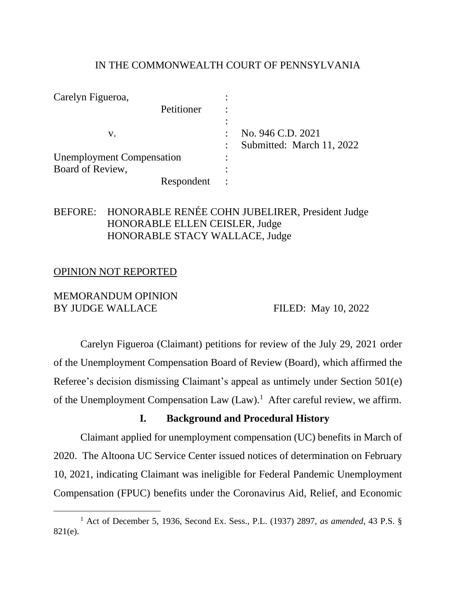#### IN THE COMMONWEALTH COURT OF PENNSYLVANIA

| Carelyn Figueroa,                |            |                           |
|----------------------------------|------------|---------------------------|
|                                  | Petitioner |                           |
|                                  |            |                           |
| v.                               |            | No. 946 C.D. 2021         |
|                                  |            | Submitted: March 11, 2022 |
| <b>Unemployment Compensation</b> |            |                           |
| Board of Review,                 |            |                           |
|                                  | Respondent |                           |

## BEFORE: HONORABLE RENÉE COHN JUBELIRER, President Judge HONORABLE ELLEN CEISLER, Judge HONORABLE STACY WALLACE, Judge

#### OPINION NOT REPORTED

### MEMORANDUM OPINION BY JUDGE WALLACE FILED: May 10, 2022

Carelyn Figueroa (Claimant) petitions for review of the July 29, 2021 order of the Unemployment Compensation Board of Review (Board), which affirmed the Referee's decision dismissing Claimant's appeal as untimely under Section 501(e) of the Unemployment Compensation Law (Law).<sup>1</sup> After careful review, we affirm.

#### **I. Background and Procedural History**

Claimant applied for unemployment compensation (UC) benefits in March of 2020. The Altoona UC Service Center issued notices of determination on February 10, 2021, indicating Claimant was ineligible for Federal Pandemic Unemployment Compensation (FPUC) benefits under the Coronavirus Aid, Relief, and Economic

<sup>1</sup> Act of December 5, 1936, Second Ex. Sess., P.L. (1937) 2897, *as amended*, 43 P.S. § 821(e).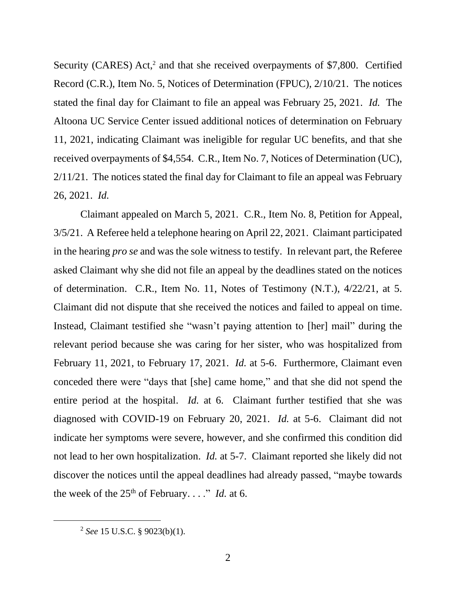Security (CARES) Act,<sup>2</sup> and that she received overpayments of \$7,800. Certified Record (C.R.), Item No. 5, Notices of Determination (FPUC), 2/10/21. The notices stated the final day for Claimant to file an appeal was February 25, 2021. *Id.* The Altoona UC Service Center issued additional notices of determination on February 11, 2021, indicating Claimant was ineligible for regular UC benefits, and that she received overpayments of \$4,554. C.R., Item No. 7, Notices of Determination (UC), 2/11/21. The notices stated the final day for Claimant to file an appeal was February 26, 2021. *Id.*

Claimant appealed on March 5, 2021. C.R., Item No. 8, Petition for Appeal, 3/5/21. A Referee held a telephone hearing on April 22, 2021. Claimant participated in the hearing *pro se* and was the sole witness to testify. In relevant part, the Referee asked Claimant why she did not file an appeal by the deadlines stated on the notices of determination. C.R., Item No. 11, Notes of Testimony (N.T.), 4/22/21, at 5. Claimant did not dispute that she received the notices and failed to appeal on time. Instead, Claimant testified she "wasn't paying attention to [her] mail" during the relevant period because she was caring for her sister, who was hospitalized from February 11, 2021, to February 17, 2021. *Id.* at 5-6. Furthermore, Claimant even conceded there were "days that [she] came home," and that she did not spend the entire period at the hospital. *Id.* at 6. Claimant further testified that she was diagnosed with COVID-19 on February 20, 2021. *Id.* at 5-6. Claimant did not indicate her symptoms were severe, however, and she confirmed this condition did not lead to her own hospitalization. *Id.* at 5-7. Claimant reported she likely did not discover the notices until the appeal deadlines had already passed, "maybe towards the week of the  $25<sup>th</sup>$  of February. . . ." *Id.* at 6.

<sup>2</sup> *See* 15 U.S.C. § 9023(b)(1).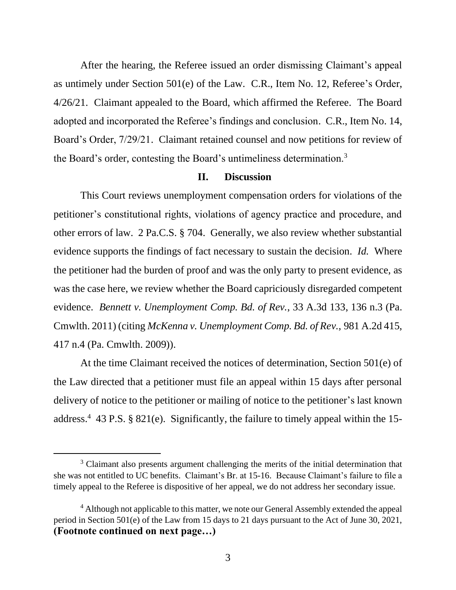After the hearing, the Referee issued an order dismissing Claimant's appeal as untimely under Section 501(e) of the Law. C.R., Item No. 12, Referee's Order, 4/26/21. Claimant appealed to the Board, which affirmed the Referee. The Board adopted and incorporated the Referee's findings and conclusion. C.R., Item No. 14, Board's Order, 7/29/21. Claimant retained counsel and now petitions for review of the Board's order, contesting the Board's untimeliness determination.<sup>3</sup>

#### **II. Discussion**

This Court reviews unemployment compensation orders for violations of the petitioner's constitutional rights, violations of agency practice and procedure, and other errors of law. 2 Pa.C.S. § 704. Generally, we also review whether substantial evidence supports the findings of fact necessary to sustain the decision. *Id.* Where the petitioner had the burden of proof and was the only party to present evidence, as was the case here, we review whether the Board capriciously disregarded competent evidence. *Bennett v. Unemployment Comp. Bd. of Rev.*, 33 A.3d 133, 136 n.3 (Pa. Cmwlth. 2011) (citing *McKenna v. Unemployment Comp. Bd. of Rev.*, 981 A.2d 415, 417 n.4 (Pa. Cmwlth. 2009)).

At the time Claimant received the notices of determination, Section 501(e) of the Law directed that a petitioner must file an appeal within 15 days after personal delivery of notice to the petitioner or mailing of notice to the petitioner's last known address.<sup>4</sup> 43 P.S. § 821(e). Significantly, the failure to timely appeal within the 15-

<sup>&</sup>lt;sup>3</sup> Claimant also presents argument challenging the merits of the initial determination that she was not entitled to UC benefits. Claimant's Br. at 15-16. Because Claimant's failure to file a timely appeal to the Referee is dispositive of her appeal, we do not address her secondary issue.

<sup>&</sup>lt;sup>4</sup> Although not applicable to this matter, we note our General Assembly extended the appeal period in Section 501(e) of the Law from 15 days to 21 days pursuant to the Act of June 30, 2021, **(Footnote continued on next page…)**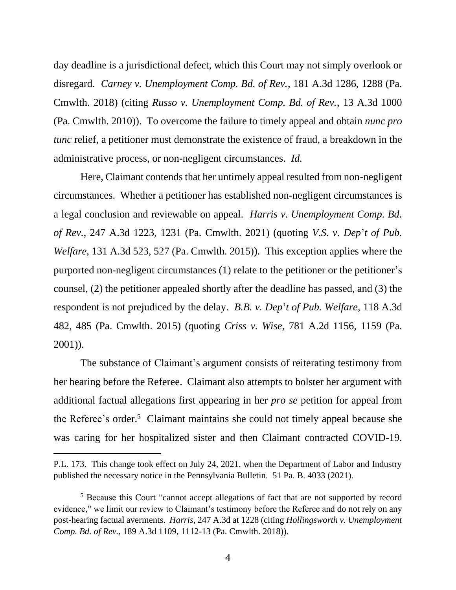day deadline is a jurisdictional defect, which this Court may not simply overlook or disregard. *Carney v. Unemployment Comp. Bd. of Rev.*, 181 A.3d 1286, 1288 (Pa. Cmwlth. 2018) (citing *Russo v. Unemployment Comp. Bd. of Rev.*, 13 A.3d 1000 (Pa. Cmwlth. 2010)). To overcome the failure to timely appeal and obtain *nunc pro tunc* relief, a petitioner must demonstrate the existence of fraud, a breakdown in the administrative process, or non-negligent circumstances. *Id.*

Here, Claimant contends that her untimely appeal resulted from non-negligent circumstances. Whether a petitioner has established non-negligent circumstances is a legal conclusion and reviewable on appeal. *Harris v. Unemployment Comp. Bd. of Rev.*, 247 A.3d 1223, 1231 (Pa. Cmwlth. 2021) (quoting *V.S. v. Dep*'*t of Pub. Welfare*, 131 A.3d 523, 527 (Pa. Cmwlth. 2015)). This exception applies where the purported non-negligent circumstances (1) relate to the petitioner or the petitioner's counsel, (2) the petitioner appealed shortly after the deadline has passed, and (3) the respondent is not prejudiced by the delay. *B.B. v. Dep*'*t of Pub. Welfare*, 118 A.3d 482, 485 (Pa. Cmwlth. 2015) (quoting *Criss v. Wise*, 781 A.2d 1156, 1159 (Pa. 2001)).

The substance of Claimant's argument consists of reiterating testimony from her hearing before the Referee. Claimant also attempts to bolster her argument with additional factual allegations first appearing in her *pro se* petition for appeal from the Referee's order.<sup>5</sup> Claimant maintains she could not timely appeal because she was caring for her hospitalized sister and then Claimant contracted COVID-19.

P.L. 173. This change took effect on July 24, 2021, when the Department of Labor and Industry published the necessary notice in the Pennsylvania Bulletin. 51 Pa. B. 4033 (2021).

<sup>&</sup>lt;sup>5</sup> Because this Court "cannot accept allegations of fact that are not supported by record evidence," we limit our review to Claimant's testimony before the Referee and do not rely on any post-hearing factual averments. *Harris*, 247 A.3d at 1228 (citing *Hollingsworth v. Unemployment Comp. Bd. of Rev.*, 189 A.3d 1109, 1112-13 (Pa. Cmwlth. 2018)).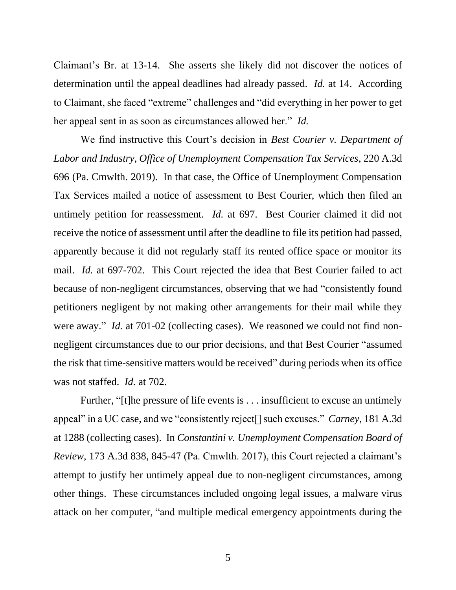Claimant's Br. at 13-14. She asserts she likely did not discover the notices of determination until the appeal deadlines had already passed. *Id.* at 14. According to Claimant, she faced "extreme" challenges and "did everything in her power to get her appeal sent in as soon as circumstances allowed her." *Id.*

We find instructive this Court's decision in *Best Courier v. Department of Labor and Industry, Office of Unemployment Compensation Tax Services*, 220 A.3d 696 (Pa. Cmwlth. 2019). In that case, the Office of Unemployment Compensation Tax Services mailed a notice of assessment to Best Courier, which then filed an untimely petition for reassessment. *Id.* at 697. Best Courier claimed it did not receive the notice of assessment until after the deadline to file its petition had passed, apparently because it did not regularly staff its rented office space or monitor its mail. *Id.* at 697-702. This Court rejected the idea that Best Courier failed to act because of non-negligent circumstances, observing that we had "consistently found petitioners negligent by not making other arrangements for their mail while they were away." *Id.* at 701-02 (collecting cases). We reasoned we could not find nonnegligent circumstances due to our prior decisions, and that Best Courier "assumed the risk that time-sensitive matters would be received" during periods when its office was not staffed. *Id.* at 702.

Further, "[t]he pressure of life events is . . . insufficient to excuse an untimely appeal" in a UC case, and we "consistently reject[] such excuses." *Carney*, 181 A.3d at 1288 (collecting cases). In *Constantini v. Unemployment Compensation Board of Review*, 173 A.3d 838, 845-47 (Pa. Cmwlth. 2017), this Court rejected a claimant's attempt to justify her untimely appeal due to non-negligent circumstances, among other things. These circumstances included ongoing legal issues, a malware virus attack on her computer, "and multiple medical emergency appointments during the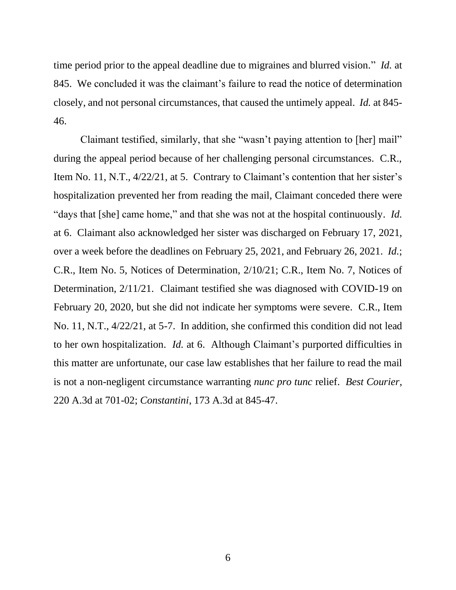time period prior to the appeal deadline due to migraines and blurred vision." *Id.* at 845. We concluded it was the claimant's failure to read the notice of determination closely, and not personal circumstances, that caused the untimely appeal. *Id.* at 845- 46.

Claimant testified, similarly, that she "wasn't paying attention to [her] mail" during the appeal period because of her challenging personal circumstances. C.R., Item No. 11, N.T., 4/22/21, at 5. Contrary to Claimant's contention that her sister's hospitalization prevented her from reading the mail, Claimant conceded there were "days that [she] came home," and that she was not at the hospital continuously. *Id.* at 6. Claimant also acknowledged her sister was discharged on February 17, 2021, over a week before the deadlines on February 25, 2021, and February 26, 2021. *Id.*; C.R., Item No. 5, Notices of Determination, 2/10/21; C.R., Item No. 7, Notices of Determination, 2/11/21. Claimant testified she was diagnosed with COVID-19 on February 20, 2020, but she did not indicate her symptoms were severe. C.R., Item No. 11, N.T., 4/22/21, at 5-7. In addition, she confirmed this condition did not lead to her own hospitalization. *Id.* at 6. Although Claimant's purported difficulties in this matter are unfortunate, our case law establishes that her failure to read the mail is not a non-negligent circumstance warranting *nunc pro tunc* relief. *Best Courier*, 220 A.3d at 701-02; *Constantini*, 173 A.3d at 845-47.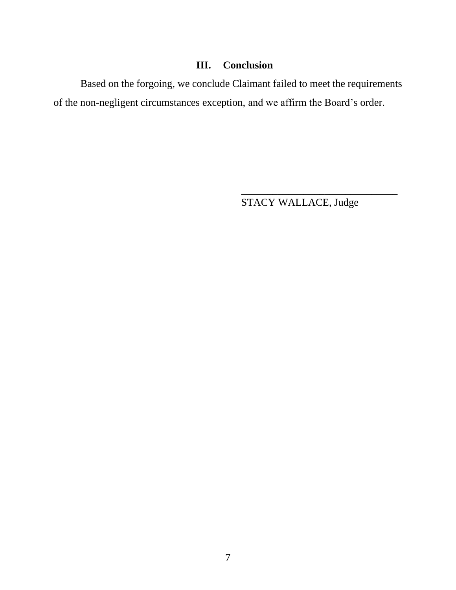## **III. Conclusion**

Based on the forgoing, we conclude Claimant failed to meet the requirements of the non-negligent circumstances exception, and we affirm the Board's order.

STACY WALLACE, Judge

\_\_\_\_\_\_\_\_\_\_\_\_\_\_\_\_\_\_\_\_\_\_\_\_\_\_\_\_\_\_